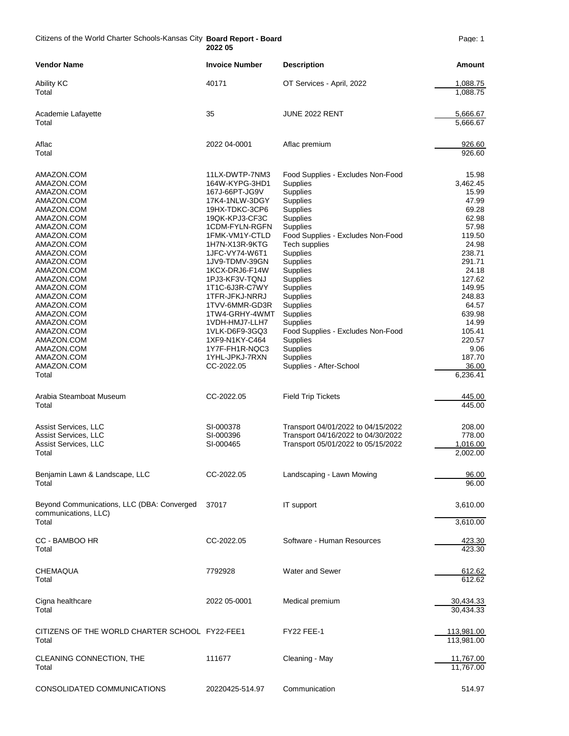Citizens of the World Charter Schools-Kansas City **Board Report - Board** Page: 1 **2022 05**

| <b>Vendor Name</b>                                                                                                                                                                                                                                                                   | <b>Invoice Number</b>                                                                                                                                                                                                                                                                                                                                                | <b>Description</b>                                                                                                                                                                                                                                                                                                                                              | Amount                                                                                                                                                                                       |
|--------------------------------------------------------------------------------------------------------------------------------------------------------------------------------------------------------------------------------------------------------------------------------------|----------------------------------------------------------------------------------------------------------------------------------------------------------------------------------------------------------------------------------------------------------------------------------------------------------------------------------------------------------------------|-----------------------------------------------------------------------------------------------------------------------------------------------------------------------------------------------------------------------------------------------------------------------------------------------------------------------------------------------------------------|----------------------------------------------------------------------------------------------------------------------------------------------------------------------------------------------|
| <b>Ability KC</b><br>Total                                                                                                                                                                                                                                                           | 40171                                                                                                                                                                                                                                                                                                                                                                | OT Services - April, 2022                                                                                                                                                                                                                                                                                                                                       | 1,088.75<br>1,088.75                                                                                                                                                                         |
| Academie Lafayette<br>Total                                                                                                                                                                                                                                                          | 35                                                                                                                                                                                                                                                                                                                                                                   | JUNE 2022 RENT                                                                                                                                                                                                                                                                                                                                                  | 5,666.67<br>5.666.67                                                                                                                                                                         |
| Aflac<br>Total                                                                                                                                                                                                                                                                       | 2022 04-0001                                                                                                                                                                                                                                                                                                                                                         | Aflac premium                                                                                                                                                                                                                                                                                                                                                   | 926.60<br>926.60                                                                                                                                                                             |
| AMAZON.COM<br>AMAZON.COM<br>AMAZON.COM<br>AMAZON.COM<br>AMAZON.COM<br>AMAZON.COM<br>AMAZON.COM<br>AMAZON.COM<br>AMAZON.COM<br>AMAZON.COM<br>AMAZON.COM<br>AMAZON.COM<br>AMAZON.COM<br>AMAZON.COM<br>AMAZON.COM<br>AMAZON.COM<br>AMAZON.COM<br>AMAZON.COM<br>AMAZON.COM<br>AMAZON.COM | 11LX-DWTP-7NM3<br>164W-KYPG-3HD1<br>167J-66PT-JG9V<br>17K4-1NLW-3DGY<br>19HX-TDKC-3CP6<br>19QK-KPJ3-CF3C<br>1CDM-FYLN-RGFN<br>1FMK-VM1Y-CTLD<br>1H7N-X13R-9KTG<br>1JFC-VY74-W6T1<br>1JV9-TDMV-39GN<br>1KCX-DRJ6-F14W<br>1PJ3-KF3V-TQNJ<br>1T1C-6J3R-C7WY<br>1TFR-JFKJ-NRRJ<br>1TVV-6MMR-GD3R<br>1TW4-GRHY-4WMT<br>1VDH-HMJ7-LLH7<br>1VLK-D6F9-3GQ3<br>1XF9-N1KY-C464 | Food Supplies - Excludes Non-Food<br><b>Supplies</b><br>Supplies<br>Supplies<br>Supplies<br>Supplies<br><b>Supplies</b><br>Food Supplies - Excludes Non-Food<br><b>Tech supplies</b><br>Supplies<br>Supplies<br>Supplies<br>Supplies<br>Supplies<br>Supplies<br>Supplies<br><b>Supplies</b><br><b>Supplies</b><br>Food Supplies - Excludes Non-Food<br>Supplies | 15.98<br>3,462.45<br>15.99<br>47.99<br>69.28<br>62.98<br>57.98<br>119.50<br>24.98<br>238.71<br>291.71<br>24.18<br>127.62<br>149.95<br>248.83<br>64.57<br>639.98<br>14.99<br>105.41<br>220.57 |
| AMAZON.COM<br>AMAZON.COM<br>AMAZON.COM<br>Total                                                                                                                                                                                                                                      | 1Y7F-FH1R-NQC3<br>1YHL-JPKJ-7RXN<br>CC-2022.05                                                                                                                                                                                                                                                                                                                       | Supplies<br>Supplies<br>Supplies - After-School                                                                                                                                                                                                                                                                                                                 | 9.06<br>187.70<br>36.00<br>6,236.41                                                                                                                                                          |
| Arabia Steamboat Museum<br>Total                                                                                                                                                                                                                                                     | CC-2022.05                                                                                                                                                                                                                                                                                                                                                           | <b>Field Trip Tickets</b>                                                                                                                                                                                                                                                                                                                                       | 445.00<br>445.00                                                                                                                                                                             |
| Assist Services, LLC<br>Assist Services, LLC<br>Assist Services, LLC<br>Total                                                                                                                                                                                                        | SI-000378<br>SI-000396<br>SI-000465                                                                                                                                                                                                                                                                                                                                  | Transport 04/01/2022 to 04/15/2022<br>Transport 04/16/2022 to 04/30/2022<br>Transport 05/01/2022 to 05/15/2022                                                                                                                                                                                                                                                  | 208.00<br>778.00<br>1,016.00<br>2,002.00                                                                                                                                                     |
| Benjamin Lawn & Landscape, LLC<br>Total                                                                                                                                                                                                                                              | CC-2022.05                                                                                                                                                                                                                                                                                                                                                           | Landscaping - Lawn Mowing                                                                                                                                                                                                                                                                                                                                       | 96.00<br>96.00                                                                                                                                                                               |
| Beyond Communications, LLC (DBA: Converged<br>communications, LLC)<br>Total                                                                                                                                                                                                          | 37017                                                                                                                                                                                                                                                                                                                                                                | IT support                                                                                                                                                                                                                                                                                                                                                      | 3,610.00<br>3,610.00                                                                                                                                                                         |
| CC - BAMBOO HR<br>Total                                                                                                                                                                                                                                                              | CC-2022.05                                                                                                                                                                                                                                                                                                                                                           | Software - Human Resources                                                                                                                                                                                                                                                                                                                                      | 423.30<br>423.30                                                                                                                                                                             |
| CHEMAQUA<br>Total                                                                                                                                                                                                                                                                    | 7792928                                                                                                                                                                                                                                                                                                                                                              | <b>Water and Sewer</b>                                                                                                                                                                                                                                                                                                                                          | 612.62<br>612.62                                                                                                                                                                             |
| Cigna healthcare<br>Total                                                                                                                                                                                                                                                            | 2022 05-0001                                                                                                                                                                                                                                                                                                                                                         | Medical premium                                                                                                                                                                                                                                                                                                                                                 | 30,434.33<br>30,434.33                                                                                                                                                                       |
| CITIZENS OF THE WORLD CHARTER SCHOOL FY22-FEE1<br>Total                                                                                                                                                                                                                              |                                                                                                                                                                                                                                                                                                                                                                      | <b>FY22 FEE-1</b>                                                                                                                                                                                                                                                                                                                                               | 113,981.00<br>113,981.00                                                                                                                                                                     |
| CLEANING CONNECTION, THE<br>Total                                                                                                                                                                                                                                                    | 111677                                                                                                                                                                                                                                                                                                                                                               | Cleaning - May                                                                                                                                                                                                                                                                                                                                                  | 11,767.00<br>11,767.00                                                                                                                                                                       |
| CONSOLIDATED COMMUNICATIONS                                                                                                                                                                                                                                                          | 20220425-514.97                                                                                                                                                                                                                                                                                                                                                      | Communication                                                                                                                                                                                                                                                                                                                                                   | 514.97                                                                                                                                                                                       |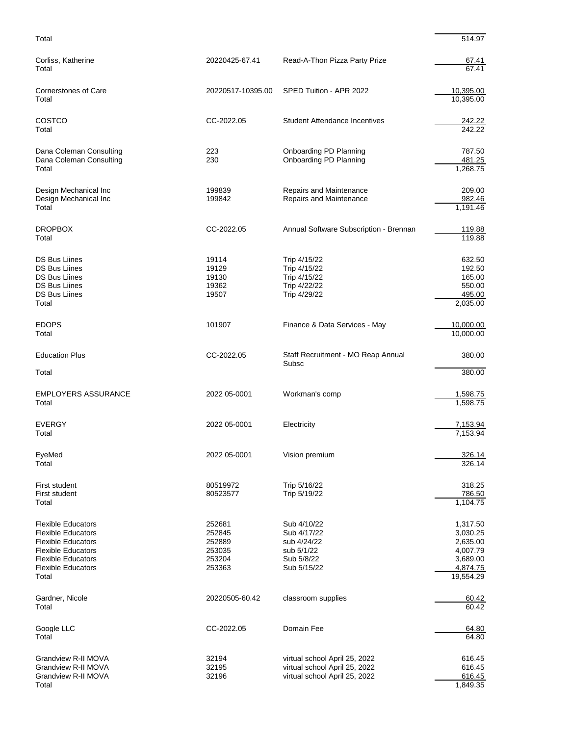Total 514.97

| Corliss, Katherine<br>Total                                                                                                                                                         | 20220425-67.41                                           | Read-A-Thon Pizza Party Prize                                                                   | 67.41<br>67.41                                                                    |
|-------------------------------------------------------------------------------------------------------------------------------------------------------------------------------------|----------------------------------------------------------|-------------------------------------------------------------------------------------------------|-----------------------------------------------------------------------------------|
| <b>Cornerstones of Care</b><br>Total                                                                                                                                                | 20220517-10395.00                                        | SPED Tuition - APR 2022                                                                         | 10,395.00<br>10,395.00                                                            |
| COSTCO<br>Total                                                                                                                                                                     | CC-2022.05                                               | <b>Student Attendance Incentives</b>                                                            | 242.22<br>242.22                                                                  |
| Dana Coleman Consulting<br>Dana Coleman Consulting<br>Total                                                                                                                         | 223<br>230                                               | Onboarding PD Planning<br>Onboarding PD Planning                                                | 787.50<br>481.25<br>1,268.75                                                      |
| Design Mechanical Inc<br>Design Mechanical Inc<br>Total                                                                                                                             | 199839<br>199842                                         | Repairs and Maintenance<br>Repairs and Maintenance                                              | 209.00<br>982.46<br>1,191.46                                                      |
| <b>DROPBOX</b><br>Total                                                                                                                                                             | CC-2022.05                                               | Annual Software Subscription - Brennan                                                          | 119.88<br>119.88                                                                  |
| <b>DS Bus Liines</b><br><b>DS Bus Liines</b><br><b>DS Bus Liines</b><br><b>DS Bus Liines</b><br><b>DS Bus Liines</b><br>Total                                                       | 19114<br>19129<br>19130<br>19362<br>19507                | Trip 4/15/22<br>Trip 4/15/22<br>Trip 4/15/22<br>Trip 4/22/22<br>Trip 4/29/22                    | 632.50<br>192.50<br>165.00<br>550.00<br>495.00<br>2,035.00                        |
| <b>EDOPS</b><br>Total                                                                                                                                                               | 101907                                                   | Finance & Data Services - May                                                                   | 10,000.00<br>10,000.00                                                            |
| <b>Education Plus</b><br>Total                                                                                                                                                      | CC-2022.05                                               | Staff Recruitment - MO Reap Annual<br>Subsc                                                     | 380.00<br>380.00                                                                  |
| <b>EMPLOYERS ASSURANCE</b><br>Total                                                                                                                                                 | 2022 05-0001                                             | Workman's comp                                                                                  | 1,598.75<br>1,598.75                                                              |
| <b>EVERGY</b><br>Total                                                                                                                                                              | 2022 05-0001                                             | Electricity                                                                                     | 7,153.94<br>7,153.94                                                              |
| EveMed<br>Total                                                                                                                                                                     | 2022 05-0001                                             | Vision premium                                                                                  | 326.14<br>326.14                                                                  |
| First student<br>First student<br>Total                                                                                                                                             | 80519972<br>80523577                                     | Trip 5/16/22<br>Trip 5/19/22                                                                    | 318.25<br>786.50<br>1,104.75                                                      |
| <b>Flexible Educators</b><br><b>Flexible Educators</b><br><b>Flexible Educators</b><br><b>Flexible Educators</b><br><b>Flexible Educators</b><br><b>Flexible Educators</b><br>Total | 252681<br>252845<br>252889<br>253035<br>253204<br>253363 | Sub 4/10/22<br>Sub 4/17/22<br>sub 4/24/22<br>sub 5/1/22<br>Sub 5/8/22<br>Sub 5/15/22            | 1,317.50<br>3,030.25<br>2,635.00<br>4,007.79<br>3,689.00<br>4,874.75<br>19,554.29 |
| Gardner, Nicole<br>Total                                                                                                                                                            | 20220505-60.42                                           | classroom supplies                                                                              | 60.42<br>60.42                                                                    |
| Google LLC<br>Total                                                                                                                                                                 | CC-2022.05                                               | Domain Fee                                                                                      | 64.80<br>64.80                                                                    |
| Grandview R-II MOVA<br>Grandview R-II MOVA<br>Grandview R-II MOVA<br>Total                                                                                                          | 32194<br>32195<br>32196                                  | virtual school April 25, 2022<br>virtual school April 25, 2022<br>virtual school April 25, 2022 | 616.45<br>616.45<br>616.45<br>1,849.35                                            |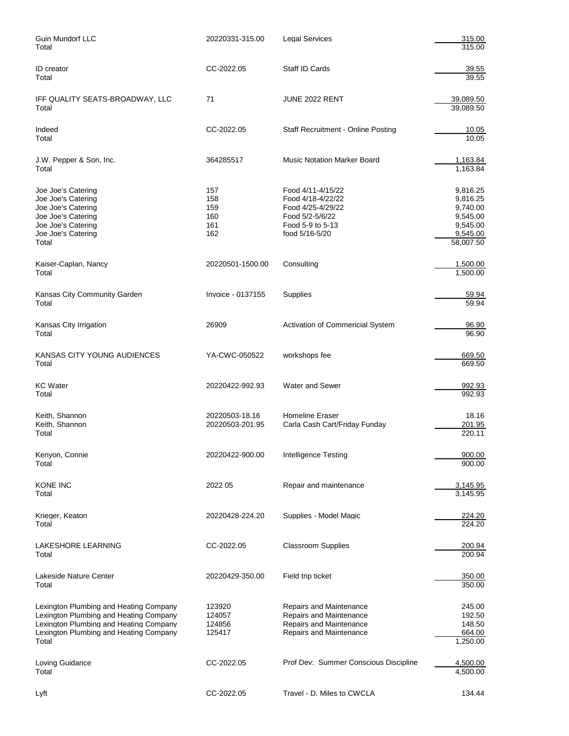| Guin Mundorf LLC<br>Total                                                                                                                                                     | 20220331-315.00                        | <b>Legal Services</b>                                                                                                | 315.00<br>315.00                                                                  |
|-------------------------------------------------------------------------------------------------------------------------------------------------------------------------------|----------------------------------------|----------------------------------------------------------------------------------------------------------------------|-----------------------------------------------------------------------------------|
| ID creator<br>Total                                                                                                                                                           | CC-2022.05                             | Staff ID Cards                                                                                                       | 39.55<br>39.55                                                                    |
| IFF QUALITY SEATS-BROADWAY, LLC<br>Total                                                                                                                                      | 71                                     | JUNE 2022 RENT                                                                                                       | 39,089.50<br>39,089.50                                                            |
| Indeed<br>Total                                                                                                                                                               | CC-2022.05                             | Staff Recruitment - Online Posting                                                                                   | 10.05<br>10.05                                                                    |
| J.W. Pepper & Son, Inc.<br>Total                                                                                                                                              | 364285517                              | <b>Music Notation Marker Board</b>                                                                                   | 1,163.84<br>1,163.84                                                              |
| Joe Joe's Catering<br>Joe Joe's Catering<br>Joe Joe's Catering<br>Joe Joe's Catering<br>Joe Joe's Catering<br>Joe Joe's Catering<br>Total                                     | 157<br>158<br>159<br>160<br>161<br>162 | Food 4/11-4/15/22<br>Food 4/18-4/22/22<br>Food 4/25-4/29/22<br>Food 5/2-5/6/22<br>Food 5-9 to 5-13<br>food 5/16-5/20 | 9,816.25<br>9,816.25<br>9,740.00<br>9,545.00<br>9,545.00<br>9,545.00<br>58,007.50 |
| Kaiser-Caplan, Nancy<br>Total                                                                                                                                                 | 20220501-1500.00                       | Consulting                                                                                                           | 1,500.00<br>1,500.00                                                              |
| Kansas City Community Garden<br>Total                                                                                                                                         | Invoice - 0137155                      | Supplies                                                                                                             | 59.94<br>59.94                                                                    |
| Kansas City Irrigation<br>Total                                                                                                                                               | 26909                                  | Activation of Commericial System                                                                                     | 96.90<br>96.90                                                                    |
| KANSAS CITY YOUNG AUDIENCES<br>Total                                                                                                                                          | YA-CWC-050522                          | workshops fee                                                                                                        | 669.50<br>669.50                                                                  |
| <b>KC</b> Water<br>Total                                                                                                                                                      | 20220422-992.93                        | <b>Water and Sewer</b>                                                                                               | 992.93<br>992.93                                                                  |
| Keith, Shannon<br>Keith, Shannon<br>Total                                                                                                                                     | 20220503-18.16<br>20220503-201.95      | <b>Homeline Eraser</b><br>Carla Cash Cart/Friday Funday                                                              | 18.16<br>201.95<br>220.11                                                         |
| Kenyon, Connie<br>Total                                                                                                                                                       | 20220422-900.00                        | <b>Intelligence Testing</b>                                                                                          | 900.00<br>900.00                                                                  |
| KONE INC<br>Total                                                                                                                                                             | 2022 05                                | Repair and maintenance                                                                                               | 3,145.95<br>3,145.95                                                              |
| Krieger, Keaton<br>Total                                                                                                                                                      | 20220428-224.20                        | Supplies - Model Magic                                                                                               | 224.20<br>224.20                                                                  |
| LAKESHORE LEARNING<br>Total                                                                                                                                                   | CC-2022.05                             | <b>Classroom Supplies</b>                                                                                            | 200.94<br>200.94                                                                  |
| Lakeside Nature Center<br>Total                                                                                                                                               | 20220429-350.00                        | Field trip ticket                                                                                                    | 350.00<br>350.00                                                                  |
| Lexington Plumbing and Heating Company<br>Lexington Plumbing and Heating Company<br>Lexington Plumbing and Heating Company<br>Lexington Plumbing and Heating Company<br>Total | 123920<br>124057<br>124856<br>125417   | Repairs and Maintenance<br>Repairs and Maintenance<br>Repairs and Maintenance<br>Repairs and Maintenance             | 245.00<br>192.50<br>148.50<br>664.00<br>1,250.00                                  |
| Loving Guidance<br>Total                                                                                                                                                      | CC-2022.05                             | Prof Dev: Summer Conscious Discipline                                                                                | 4,500.00<br>4,500.00                                                              |
| Lyft                                                                                                                                                                          | CC-2022.05                             | Travel - D. Miles to CWCLA                                                                                           | 134.44                                                                            |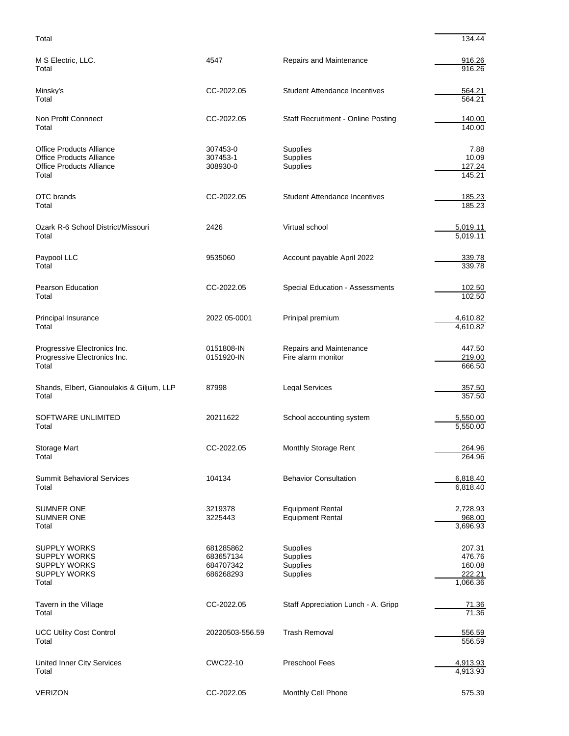| Total                                                                                                          |                                                  |                                                                          | 134.44                                           |
|----------------------------------------------------------------------------------------------------------------|--------------------------------------------------|--------------------------------------------------------------------------|--------------------------------------------------|
| M S Electric, LLC.<br>Total                                                                                    | 4547                                             | Repairs and Maintenance                                                  | 916.26<br>916.26                                 |
| Minsky's<br>Total                                                                                              | CC-2022.05                                       | <b>Student Attendance Incentives</b>                                     | 564.21<br>564.21                                 |
| Non Profit Connnect<br>Total                                                                                   | CC-2022.05                                       | <b>Staff Recruitment - Online Posting</b>                                | 140.00<br>140.00                                 |
| <b>Office Products Alliance</b><br><b>Office Products Alliance</b><br><b>Office Products Alliance</b><br>Total | 307453-0<br>307453-1<br>308930-0                 | Supplies<br><b>Supplies</b><br><b>Supplies</b>                           | 7.88<br>10.09<br>127.24<br>145.21                |
| OTC brands<br>Total                                                                                            | CC-2022.05                                       | <b>Student Attendance Incentives</b>                                     | 185.23<br>185.23                                 |
| Ozark R-6 School District/Missouri<br>Total                                                                    | 2426                                             | Virtual school                                                           | 5,019.11<br>5,019.11                             |
| Paypool LLC<br>Total                                                                                           | 9535060                                          | Account payable April 2022                                               | 339.78<br>339.78                                 |
| <b>Pearson Education</b><br>Total                                                                              | CC-2022.05                                       | Special Education - Assessments                                          | 102.50<br>102.50                                 |
| Principal Insurance<br>Total                                                                                   | 2022 05-0001                                     | Prinipal premium                                                         | 4,610.82<br>4,610.82                             |
| Progressive Electronics Inc.<br>Progressive Electronics Inc.<br>Total                                          | 0151808-IN<br>0151920-IN                         | Repairs and Maintenance<br>Fire alarm monitor                            | 447.50<br>219.00<br>666.50                       |
| Shands, Elbert, Gianoulakis & Giljum, LLP<br>Total                                                             | 87998                                            | <b>Legal Services</b>                                                    | 357.50<br>357.50                                 |
| SOFTWARE UNLIMITED<br>Total                                                                                    | 20211622                                         | School accounting system                                                 | 5,550.00<br>5,550.00                             |
| Storage Mart<br>Total                                                                                          | CC-2022.05                                       | Monthly Storage Rent                                                     | 264.96<br>264.96                                 |
| <b>Summit Behavioral Services</b><br>Total                                                                     | 104134                                           | <b>Behavior Consultation</b>                                             | 6,818.40<br>6,818.40                             |
| <b>SUMNER ONE</b><br><b>SUMNER ONE</b><br>Total                                                                | 3219378<br>3225443                               | <b>Equipment Rental</b><br><b>Equipment Rental</b>                       | 2,728.93<br>968.00<br>3,696.93                   |
| <b>SUPPLY WORKS</b><br><b>SUPPLY WORKS</b><br><b>SUPPLY WORKS</b><br><b>SUPPLY WORKS</b><br>Total              | 681285862<br>683657134<br>684707342<br>686268293 | <b>Supplies</b><br><b>Supplies</b><br><b>Supplies</b><br><b>Supplies</b> | 207.31<br>476.76<br>160.08<br>222.21<br>1,066.36 |
| Tavern in the Village<br>Total                                                                                 | CC-2022.05                                       | Staff Appreciation Lunch - A. Gripp                                      | 71.36<br>71.36                                   |
| <b>UCC Utility Cost Control</b><br>Total                                                                       | 20220503-556.59                                  | <b>Trash Removal</b>                                                     | 556.59<br>556.59                                 |
| <b>United Inner City Services</b><br>Total                                                                     | CWC22-10                                         | Preschool Fees                                                           | 4,913.93<br>4,913.93                             |

| --------- |            |                    | .      |
|-----------|------------|--------------------|--------|
| VERIZON   | CC-2022.05 | Monthly Cell Phone | 575.39 |